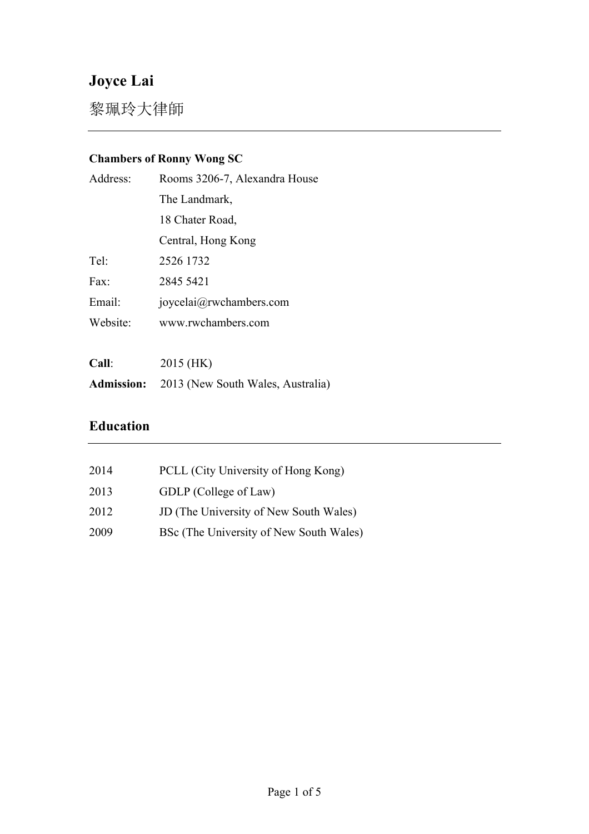# **Joyce Lai**

黎珮玲大律師

## **Chambers of Ronny Wong SC**

| Address:          | Rooms 3206-7, Alexandra House     |
|-------------------|-----------------------------------|
|                   | The Landmark,                     |
|                   | 18 Chater Road,                   |
|                   | Central, Hong Kong                |
| Tel:              | 2526 1732                         |
| Fax:              | 2845 5421                         |
| Email:            | joycelai@rwchambers.com           |
| Website:          | www.rwchambers.com                |
|                   |                                   |
| Call:             | 2015 (HK)                         |
| <b>Admission:</b> | 2013 (New South Wales, Australia) |

## **Education**

| 2014 | PCLL (City University of Hong Kong)     |
|------|-----------------------------------------|
| 2013 | GDLP (College of Law)                   |
| 2012 | JD (The University of New South Wales)  |
| 2009 | BSc (The University of New South Wales) |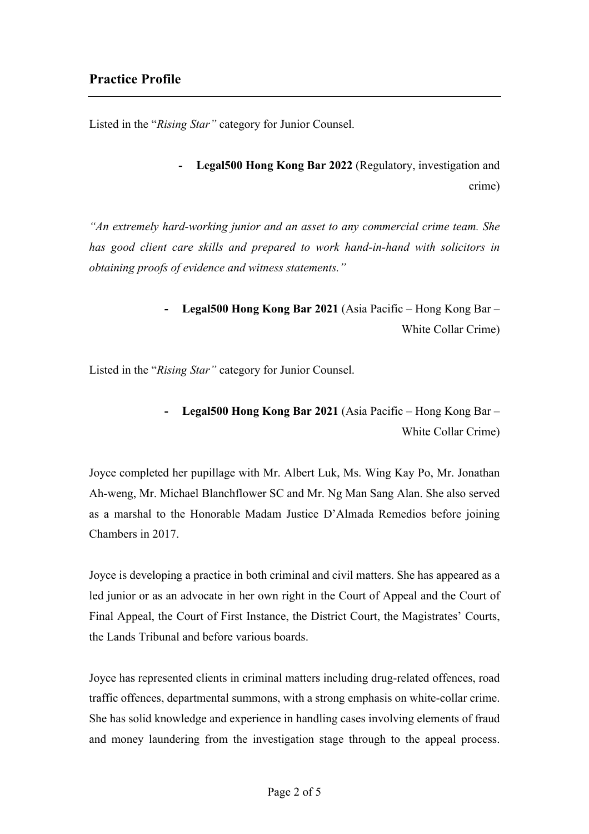Listed in the "*Rising Star"* category for Junior Counsel.

**- Legal500 Hong Kong Bar 2022** (Regulatory, investigation and crime)

*"An extremely hard-working junior and an asset to any commercial crime team. She has good client care skills and prepared to work hand-in-hand with solicitors in obtaining proofs of evidence and witness statements."*

> **- Legal500 Hong Kong Bar 2021** (Asia Pacific – Hong Kong Bar – White Collar Crime)

Listed in the "*Rising Star"* category for Junior Counsel.

**- Legal500 Hong Kong Bar 2021** (Asia Pacific – Hong Kong Bar – White Collar Crime)

Joyce completed her pupillage with Mr. Albert Luk, Ms. Wing Kay Po, Mr. Jonathan Ah-weng, Mr. Michael Blanchflower SC and Mr. Ng Man Sang Alan. She also served as a marshal to the Honorable Madam Justice D'Almada Remedios before joining Chambers in 2017.

Joyce is developing a practice in both criminal and civil matters. She has appeared as a led junior or as an advocate in her own right in the Court of Appeal and the Court of Final Appeal, the Court of First Instance, the District Court, the Magistrates' Courts, the Lands Tribunal and before various boards.

Joyce has represented clients in criminal matters including drug-related offences, road traffic offences, departmental summons, with a strong emphasis on white-collar crime. She has solid knowledge and experience in handling cases involving elements of fraud and money laundering from the investigation stage through to the appeal process.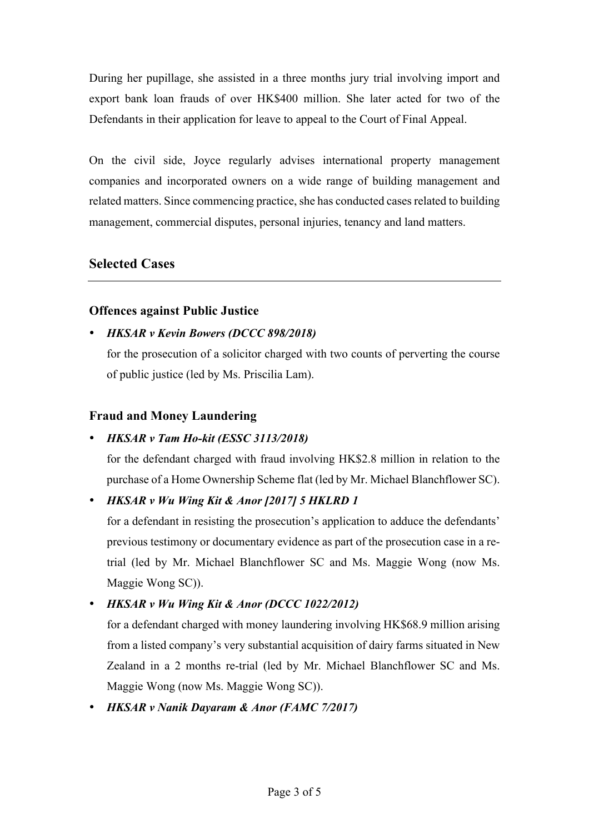During her pupillage, she assisted in a three months jury trial involving import and export bank loan frauds of over HK\$400 million. She later acted for two of the Defendants in their application for leave to appeal to the Court of Final Appeal.

On the civil side, Joyce regularly advises international property management companies and incorporated owners on a wide range of building management and related matters. Since commencing practice, she has conducted cases related to building management, commercial disputes, personal injuries, tenancy and land matters.

## **Selected Cases**

#### **Offences against Public Justice**

• *HKSAR v Kevin Bowers (DCCC 898/2018)*

for the prosecution of a solicitor charged with two counts of perverting the course of public justice (led by Ms. Priscilia Lam).

#### **Fraud and Money Laundering**

## • *HKSAR v Tam Ho-kit (ESSC 3113/2018)*

for the defendant charged with fraud involving HK\$2.8 million in relation to the purchase of a Home Ownership Scheme flat (led by Mr. Michael Blanchflower SC).

## • *HKSAR v Wu Wing Kit & Anor [2017] 5 HKLRD 1*

for a defendant in resisting the prosecution's application to adduce the defendants' previous testimony or documentary evidence as part of the prosecution case in a retrial (led by Mr. Michael Blanchflower SC and Ms. Maggie Wong (now Ms. Maggie Wong SC)).

## • *HKSAR v Wu Wing Kit & Anor (DCCC 1022/2012)*

for a defendant charged with money laundering involving HK\$68.9 million arising from a listed company's very substantial acquisition of dairy farms situated in New Zealand in a 2 months re-trial (led by Mr. Michael Blanchflower SC and Ms. Maggie Wong (now Ms. Maggie Wong SC)).

• *HKSAR v Nanik Dayaram & Anor (FAMC 7/2017)*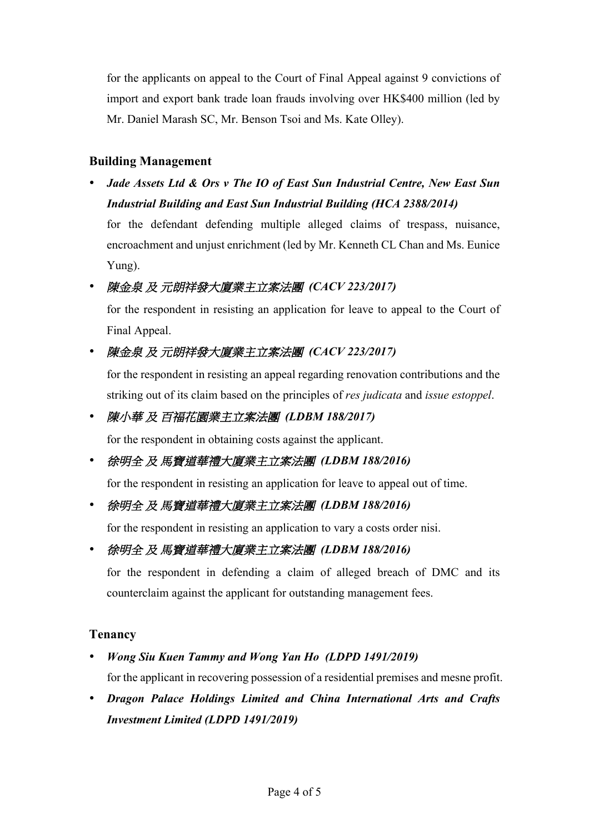for the applicants on appeal to the Court of Final Appeal against 9 convictions of import and export bank trade loan frauds involving over HK\$400 million (led by Mr. Daniel Marash SC, Mr. Benson Tsoi and Ms. Kate Olley).

#### **Building Management**

• *Jade Assets Ltd & Ors v The IO of East Sun Industrial Centre, New East Sun Industrial Building and East Sun Industrial Building (HCA 2388/2014)*

for the defendant defending multiple alleged claims of trespass, nuisance, encroachment and unjust enrichment (led by Mr. Kenneth CL Chan and Ms. Eunice Yung).

#### • 陳金泉 及 元朗祥發大廈業主立案法團 *(CACV 223/2017)*

for the respondent in resisting an application for leave to appeal to the Court of Final Appeal.

## • 陳金泉 及 元朗祥發大廈業主立案法團 *(CACV 223/2017)*

for the respondent in resisting an appeal regarding renovation contributions and the striking out of its claim based on the principles of *res judicata* and *issue estoppel*.

#### • 陳小華 及 百福花園業主立案法團 *(LDBM 188/2017)*

for the respondent in obtaining costs against the applicant.

## • 徐明全 及 馬寶道華禮大廈業主立案法團 *(LDBM 188/2016)*

for the respondent in resisting an application for leave to appeal out of time.

#### • 徐明全 及 馬寶道華禮大廈業主立案法團 *(LDBM 188/2016)*

for the respondent in resisting an application to vary a costs order nisi.

## • 徐明全 及 馬寶道華禮大廈業主立案法團 *(LDBM 188/2016)*

for the respondent in defending a claim of alleged breach of DMC and its counterclaim against the applicant for outstanding management fees.

#### **Tenancy**

## • *Wong Siu Kuen Tammy and Wong Yan Ho (LDPD 1491/2019)* for the applicant in recovering possession of a residential premises and mesne profit.

• *Dragon Palace Holdings Limited and China International Arts and Crafts Investment Limited (LDPD 1491/2019)*